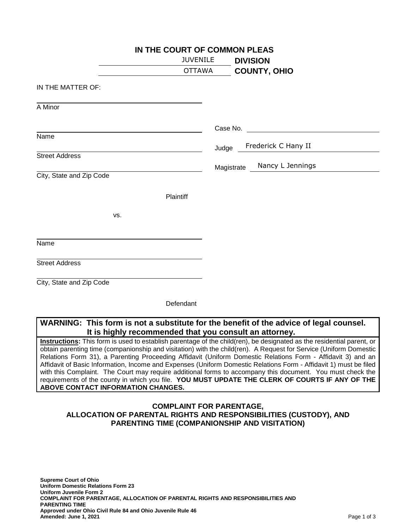|                          | IN THE COURT OF COMMON PLEAS |                                |  |  |
|--------------------------|------------------------------|--------------------------------|--|--|
|                          | <b>JUVENILE</b>              | <b>DIVISION</b>                |  |  |
|                          | <b>OTTAWA</b>                | <b>COUNTY, OHIO</b>            |  |  |
| IN THE MATTER OF:        |                              |                                |  |  |
| A Minor                  |                              |                                |  |  |
|                          |                              | Case No.                       |  |  |
| Name                     |                              | Frederick C Hany II<br>Judge   |  |  |
| <b>Street Address</b>    |                              | Nancy L Jennings<br>Magistrate |  |  |
| City, State and Zip Code |                              |                                |  |  |
|                          | Plaintiff                    |                                |  |  |
| VS.                      |                              |                                |  |  |
| Name                     |                              |                                |  |  |
|                          |                              |                                |  |  |
| <b>Street Address</b>    |                              |                                |  |  |
| City, State and Zip Code |                              |                                |  |  |
|                          | Defendant                    |                                |  |  |

## **WARNING: This form is not a substitute for the benefit of the advice of legal counsel. It is highly recommended that you consult an attorney.**

**Instructions:** This form is used to establish parentage of the child(ren), be designated as the residential parent, or obtain parenting time (companionship and visitation) with the child(ren). A Request for Service (Uniform Domestic Relations Form 31), a Parenting Proceeding Affidavit (Uniform Domestic Relations Form - Affidavit 3) and an Affidavit of Basic Information, Income and Expenses (Uniform Domestic Relations Form - Affidavit 1) must be filed with this Complaint. The Court may require additional forms to accompany this document. You must check the requirements of the county in which you file. **YOU MUST UPDATE THE CLERK OF COURTS IF ANY OF THE ABOVE CONTACT INFORMATION CHANGES.**

## **COMPLAINT FOR PARENTAGE, ALLOCATION OF PARENTAL RIGHTS AND RESPONSIBILITIES (CUSTODY), AND PARENTING TIME (COMPANIONSHIP AND VISITATION)**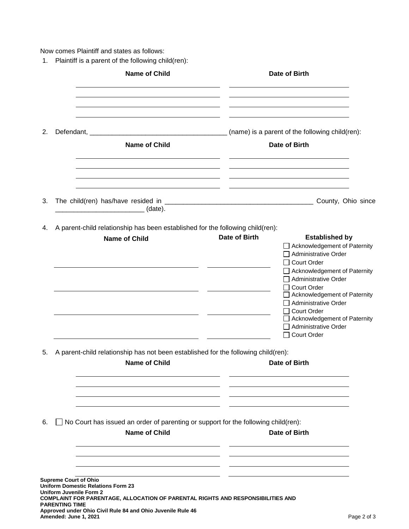Now comes Plaintiff and states as follows:

1. Plaintiff is a parent of the following child(ren):

|    |                                                                                                    | <b>Name of Child</b>                                                                                                                                                                        |               | Date of Birth                                                                                                                                                                                                                                                                                                                                         |
|----|----------------------------------------------------------------------------------------------------|---------------------------------------------------------------------------------------------------------------------------------------------------------------------------------------------|---------------|-------------------------------------------------------------------------------------------------------------------------------------------------------------------------------------------------------------------------------------------------------------------------------------------------------------------------------------------------------|
| 2. |                                                                                                    | <b>Name of Child</b>                                                                                                                                                                        |               | Date of Birth                                                                                                                                                                                                                                                                                                                                         |
| 3. |                                                                                                    | _________________________________ (date).                                                                                                                                                   |               |                                                                                                                                                                                                                                                                                                                                                       |
| 4. |                                                                                                    | A parent-child relationship has been established for the following child(ren):<br><b>Name of Child</b><br><u> 1989 - Johann Barbara, martin a</u>                                           | Date of Birth | <b>Established by</b><br>Acknowledgement of Paternity<br>Administrative Order<br><b>Court Order</b><br>□ Acknowledgement of Paternity<br>$\Box$ Administrative Order<br>□ Court Order<br>Acknowledgement of Paternity<br>Administrative Order<br>□ Court Order<br>Acknowledgement of Paternity<br>Administrative Order<br>Court Order<br>$\mathsf{L}$ |
| 5. |                                                                                                    | A parent-child relationship has not been established for the following child(ren):<br><b>Name of Child</b>                                                                                  |               | <b>Date of Birth</b>                                                                                                                                                                                                                                                                                                                                  |
| 6. |                                                                                                    | No Court has issued an order of parenting or support for the following child(ren):<br><b>Name of Child</b>                                                                                  |               | Date of Birth                                                                                                                                                                                                                                                                                                                                         |
|    | <b>Supreme Court of Ohio</b><br>Uniform Juvenile Form 2<br>PARENTING TIME<br>Amended: June 1, 2021 | <b>Uniform Domestic Relations Form 23</b><br>COMPLAINT FOR PARENTAGE, ALLOCATION OF PARENTAL RIGHTS AND RESPONSIBILITIES AND<br>Approved under Ohio Civil Rule 84 and Ohio Juvenile Rule 46 |               | Page 2 of 3                                                                                                                                                                                                                                                                                                                                           |